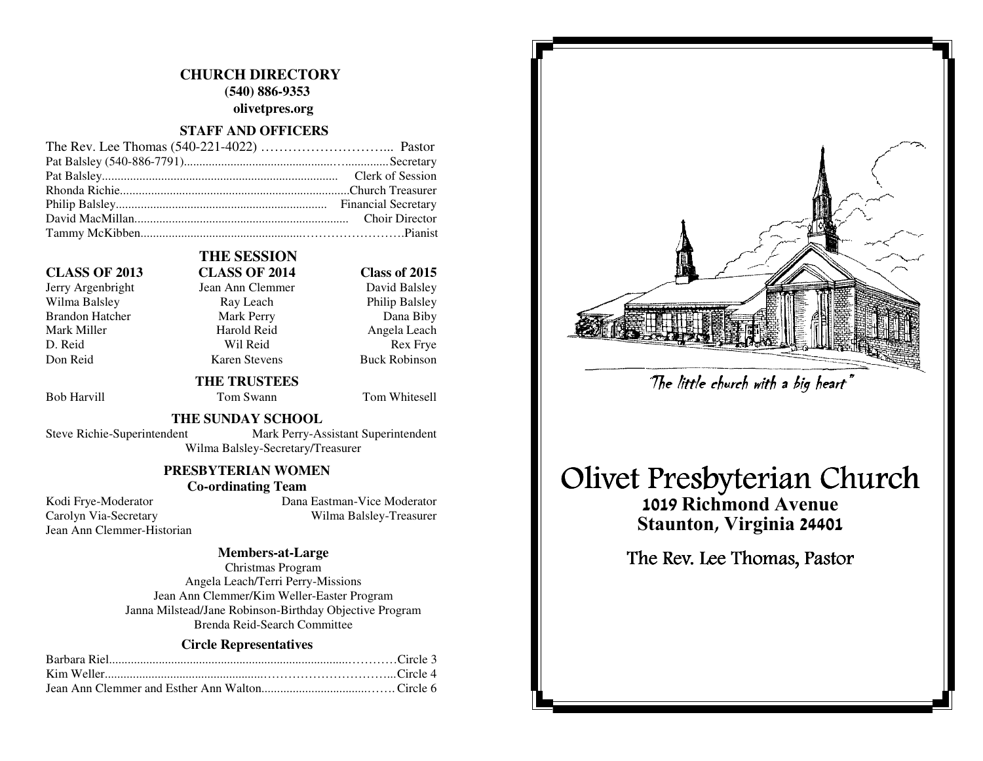## **CHURCH DIRECTORY (540) 886-9353 olivetpres.org**

### **STAFF AND OFFICERS**

### **CLASS OF 2013 CLASS OF 2014 Class of 2015**

Wilma Balsley Ray Leach Brandon Hatcher Mark Perry Dana Biby Mark Miller **Mark Angela Leach** Harold Reid **Angela Leach** D. Reid Rex Frye Don Reid Karen Stevens Buck Robinson

 **THE SESSION** 

## Jerry Argenbright Jean Ann Clemmer

Bob Harvill Tom Swann Tom Whitesell

David Balsley

**Philip Balsley** 

### **THE SUNDAY SCHOOL**

 **THE TRUSTEES** 

Steve Richie-Superintendent Mark Perry-Assistant Superintendent

Wilma Balsley-Secretary/Treasurer

### **PRESBYTERIAN WOMEN**

### **Co-ordinating Team**

Jean Ann Clemmer-Historian

 Kodi Frye-Moderator Dana Eastman-Vice Moderator Carolyn Via-Secretary Wilma Balsley-Treasurer

### **Members-at-Large**

Christmas Program Angela Leach/Terri Perry-Missions Jean Ann Clemmer/Kim Weller-Easter Program Janna Milstead/Jane Robinson-Birthday Objective Program Brenda Reid-Search Committee

### **Circle Representatives**



# Olivet Presbyterian Church The little church with a big heart"<br>Presbyterian Ch<br>019 Richmond Avenue<br>taunton, Virginia 24401<br>e Rev. Lee Thomas, Pastor

1019 Richmond Avenue Staunton, Virginia 24401

The Rev. Lee Thomas, Pastor